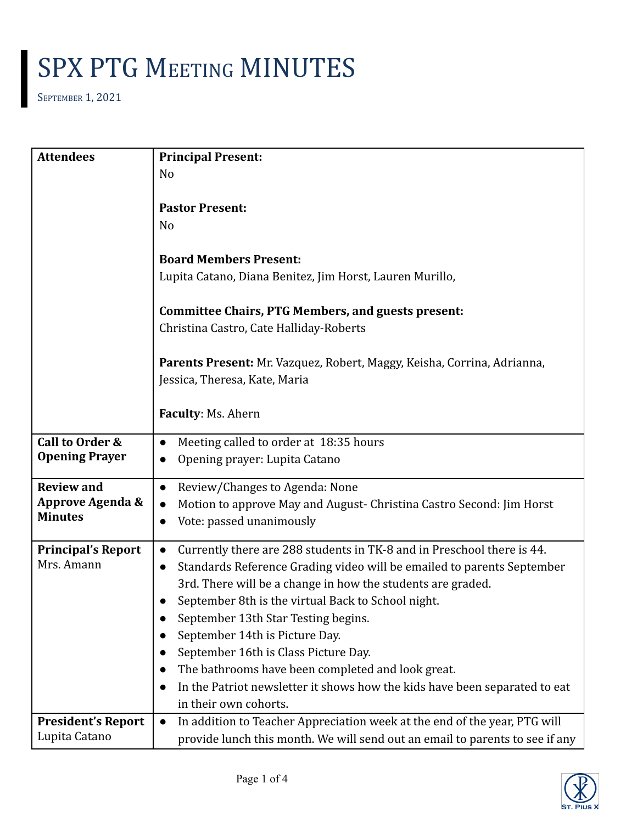SEPTEMBER 1, 2021

| <b>Attendees</b>            | <b>Principal Present:</b>                                                              |
|-----------------------------|----------------------------------------------------------------------------------------|
|                             | No                                                                                     |
|                             |                                                                                        |
|                             | <b>Pastor Present:</b>                                                                 |
|                             | N <sub>o</sub>                                                                         |
|                             | <b>Board Members Present:</b>                                                          |
|                             | Lupita Catano, Diana Benitez, Jim Horst, Lauren Murillo,                               |
|                             | <b>Committee Chairs, PTG Members, and guests present:</b>                              |
|                             | Christina Castro, Cate Halliday-Roberts                                                |
|                             |                                                                                        |
|                             | Parents Present: Mr. Vazquez, Robert, Maggy, Keisha, Corrina, Adrianna,                |
|                             | Jessica, Theresa, Kate, Maria                                                          |
|                             |                                                                                        |
|                             | Faculty: Ms. Ahern                                                                     |
| Call to Order &             | Meeting called to order at 18:35 hours<br>$\bullet$                                    |
| <b>Opening Prayer</b>       | Opening prayer: Lupita Catano<br>$\bullet$                                             |
| <b>Review and</b>           | Review/Changes to Agenda: None                                                         |
| <b>Approve Agenda &amp;</b> | Motion to approve May and August- Christina Castro Second: Jim Horst<br>$\bullet$      |
| <b>Minutes</b>              | Vote: passed unanimously                                                               |
| <b>Principal's Report</b>   | Currently there are 288 students in TK-8 and in Preschool there is 44.                 |
| Mrs. Amann                  | Standards Reference Grading video will be emailed to parents September<br>$\bullet$    |
|                             | 3rd. There will be a change in how the students are graded.                            |
|                             | September 8th is the virtual Back to School night.                                     |
|                             | September 13th Star Testing begins.                                                    |
|                             | September 14th is Picture Day.                                                         |
|                             | September 16th is Class Picture Day.                                                   |
|                             | The bathrooms have been completed and look great.                                      |
|                             | In the Patriot newsletter it shows how the kids have been separated to eat             |
|                             | in their own cohorts.                                                                  |
| <b>President's Report</b>   | In addition to Teacher Appreciation week at the end of the year, PTG will<br>$\bullet$ |
| Lupita Catano               | provide lunch this month. We will send out an email to parents to see if any           |

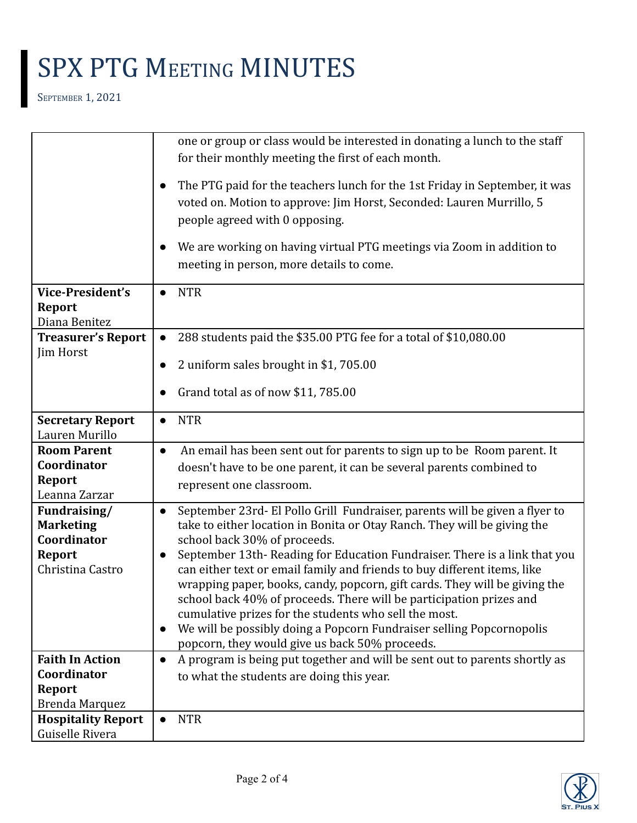SEPTEMBER 1, 2021

|                                              | one or group or class would be interested in donating a lunch to the staff                                                                                                            |
|----------------------------------------------|---------------------------------------------------------------------------------------------------------------------------------------------------------------------------------------|
|                                              | for their monthly meeting the first of each month.                                                                                                                                    |
|                                              | The PTG paid for the teachers lunch for the 1st Friday in September, it was<br>voted on. Motion to approve: Jim Horst, Seconded: Lauren Murrillo, 5<br>people agreed with 0 opposing. |
|                                              | We are working on having virtual PTG meetings via Zoom in addition to<br>meeting in person, more details to come.                                                                     |
| <b>Vice-President's</b>                      | <b>NTR</b><br>$\bullet$                                                                                                                                                               |
| Report                                       |                                                                                                                                                                                       |
| Diana Benitez                                |                                                                                                                                                                                       |
| <b>Treasurer's Report</b>                    | 288 students paid the \$35.00 PTG fee for a total of \$10,080.00                                                                                                                      |
| Jim Horst                                    | 2 uniform sales brought in \$1,705.00                                                                                                                                                 |
|                                              | Grand total as of now \$11, 785.00                                                                                                                                                    |
| <b>Secretary Report</b><br>Lauren Murillo    | <b>NTR</b><br>$\bullet$                                                                                                                                                               |
| <b>Room Parent</b>                           | An email has been sent out for parents to sign up to be Room parent. It<br>$\bullet$                                                                                                  |
| Coordinator                                  | doesn't have to be one parent, it can be several parents combined to                                                                                                                  |
| Report                                       | represent one classroom.                                                                                                                                                              |
| Leanna Zarzar<br>Fundraising/                | September 23rd- El Pollo Grill Fundraiser, parents will be given a flyer to<br>$\bullet$                                                                                              |
| <b>Marketing</b>                             | take to either location in Bonita or Otay Ranch. They will be giving the                                                                                                              |
| Coordinator                                  | school back 30% of proceeds.                                                                                                                                                          |
| Report                                       | September 13th-Reading for Education Fundraiser. There is a link that you                                                                                                             |
| Christina Castro                             | can either text or email family and friends to buy different items, like                                                                                                              |
|                                              | wrapping paper, books, candy, popcorn, gift cards. They will be giving the<br>school back 40% of proceeds. There will be participation prizes and                                     |
|                                              | cumulative prizes for the students who sell the most.                                                                                                                                 |
|                                              | We will be possibly doing a Popcorn Fundraiser selling Popcornopolis<br>$\bullet$                                                                                                     |
|                                              | popcorn, they would give us back 50% proceeds.                                                                                                                                        |
| <b>Faith In Action</b>                       | A program is being put together and will be sent out to parents shortly as<br>$\bullet$                                                                                               |
| Coordinator                                  | to what the students are doing this year.                                                                                                                                             |
| <b>Report</b>                                |                                                                                                                                                                                       |
| Brenda Marquez                               |                                                                                                                                                                                       |
| <b>Hospitality Report</b><br>Guiselle Rivera | <b>NTR</b>                                                                                                                                                                            |
|                                              |                                                                                                                                                                                       |

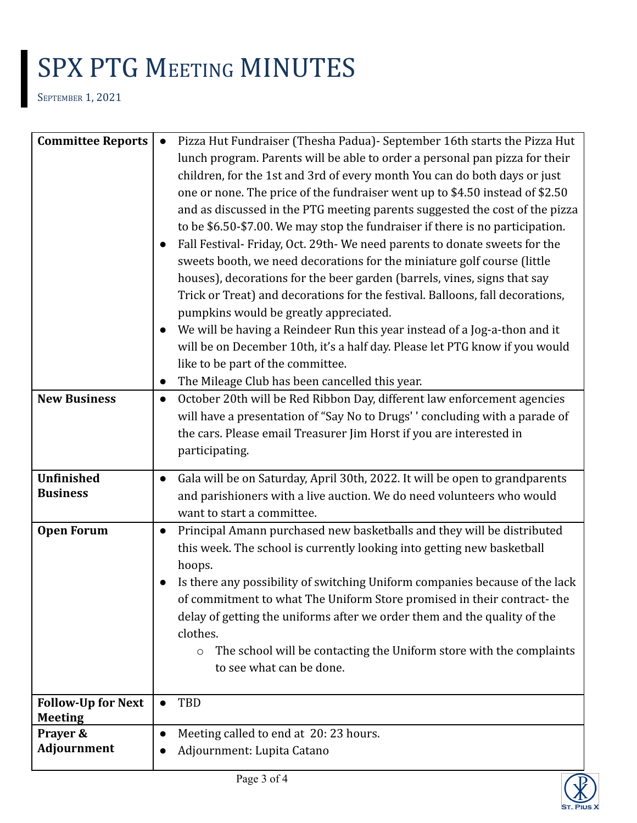SEPTEMBER 1, 2021

| <b>Committee Reports</b>  | Pizza Hut Fundraiser (Thesha Padua) - September 16th starts the Pizza Hut<br>$\bullet$   |
|---------------------------|------------------------------------------------------------------------------------------|
|                           | lunch program. Parents will be able to order a personal pan pizza for their              |
|                           | children, for the 1st and 3rd of every month You can do both days or just                |
|                           | one or none. The price of the fundraiser went up to \$4.50 instead of \$2.50             |
|                           | and as discussed in the PTG meeting parents suggested the cost of the pizza              |
|                           | to be \$6.50-\$7.00. We may stop the fundraiser if there is no participation.            |
|                           | Fall Festival- Friday, Oct. 29th- We need parents to donate sweets for the               |
|                           | sweets booth, we need decorations for the miniature golf course (little                  |
|                           |                                                                                          |
|                           | houses), decorations for the beer garden (barrels, vines, signs that say                 |
|                           | Trick or Treat) and decorations for the festival. Balloons, fall decorations,            |
|                           | pumpkins would be greatly appreciated.                                                   |
|                           | We will be having a Reindeer Run this year instead of a Jog-a-thon and it                |
|                           | will be on December 10th, it's a half day. Please let PTG know if you would              |
|                           | like to be part of the committee.                                                        |
|                           | The Mileage Club has been cancelled this year.                                           |
| <b>New Business</b>       | October 20th will be Red Ribbon Day, different law enforcement agencies<br>$\bullet$     |
|                           | will have a presentation of "Say No to Drugs'' concluding with a parade of               |
|                           | the cars. Please email Treasurer Jim Horst if you are interested in                      |
|                           | participating.                                                                           |
| <b>Unfinished</b>         | Gala will be on Saturday, April 30th, 2022. It will be open to grandparents<br>$\bullet$ |
| <b>Business</b>           | and parishioners with a live auction. We do need volunteers who would                    |
|                           | want to start a committee.                                                               |
| <b>Open Forum</b>         | Principal Amann purchased new basketballs and they will be distributed<br>$\bullet$      |
|                           | this week. The school is currently looking into getting new basketball                   |
|                           | hoops.                                                                                   |
|                           | Is there any possibility of switching Uniform companies because of the lack              |
|                           | of commitment to what The Uniform Store promised in their contract-the                   |
|                           |                                                                                          |
|                           |                                                                                          |
|                           | delay of getting the uniforms after we order them and the quality of the                 |
|                           | clothes.                                                                                 |
|                           | The school will be contacting the Uniform store with the complaints<br>$\circ$           |
|                           | to see what can be done.                                                                 |
| <b>Follow-Up for Next</b> | TBD<br>$\bullet$                                                                         |
| <b>Meeting</b>            |                                                                                          |
| Prayer &                  | Meeting called to end at 20:23 hours.                                                    |
| Adjournment               | Adjournment: Lupita Catano                                                               |